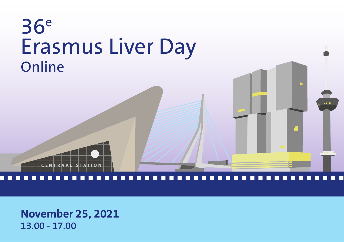## 36e Erasmus Liver Day **Online**



an a

**November 25, 2021 13.00 - 17.00**

**CENTRAAL STATION**